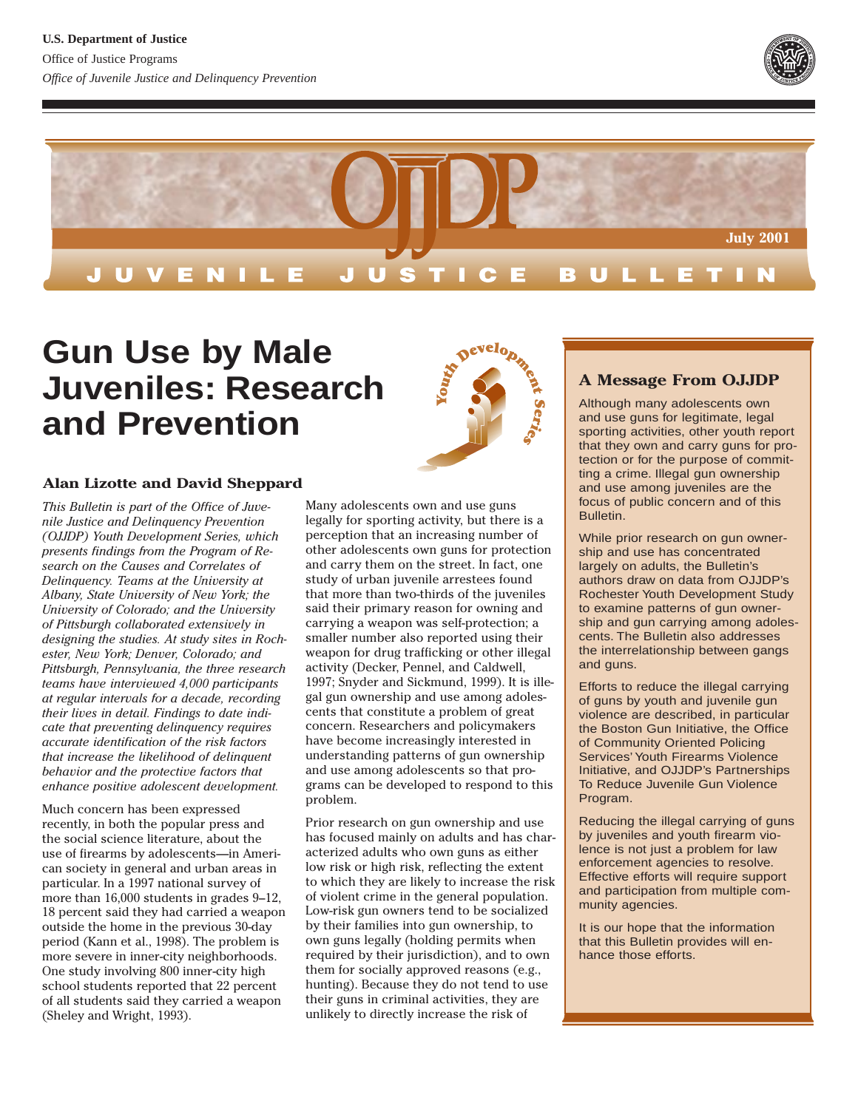



# **Gun Use by Male Juveniles: Research and Prevention**

### **Alan Lizotte and David Sheppard**

*This Bulletin is part of the Office of Juvenile Justice and Delinquency Prevention (OJJDP) Youth Development Series, which presents findings from the Program of Research on the Causes and Correlates of Delinquency. Teams at the University at Albany, State University of New York; the University of Colorado; and the University of Pittsburgh collaborated extensively in designing the studies. At study sites in Rochester, New York; Denver, Colorado; and Pittsburgh, Pennsylvania, the three research teams have interviewed 4,000 participants at regular intervals for a decade, recording their lives in detail. Findings to date indicate that preventing delinquency requires accurate identification of the risk factors that increase the likelihood of delinquent behavior and the protective factors that enhance positive adolescent development.*

Much concern has been expressed recently, in both the popular press and the social science literature, about the use of firearms by adolescents—in American society in general and urban areas in particular. In a 1997 national survey of more than 16,000 students in grades 9–12, 18 percent said they had carried a weapon outside the home in the previous 30-day period (Kann et al., 1998). The problem is more severe in inner-city neighborhoods. One study involving 800 inner-city high school students reported that 22 percent of all students said they carried a weapon (Sheley and Wright, 1993).



Prior research on gun ownership and use has focused mainly on adults and has characterized adults who own guns as either low risk or high risk, reflecting the extent to which they are likely to increase the risk of violent crime in the general population. Low-risk gun owners tend to be socialized by their families into gun ownership, to own guns legally (holding permits when required by their jurisdiction), and to own them for socially approved reasons (e.g., hunting). Because they do not tend to use their guns in criminal activities, they are unlikely to directly increase the risk of



# **A Message From OJJDP**

Although many adolescents own and use guns for legitimate, legal sporting activities, other youth report that they own and carry guns for protection or for the purpose of committing a crime. Illegal gun ownership and use among juveniles are the focus of public concern and of this Bulletin.

While prior research on gun ownership and use has concentrated largely on adults, the Bulletin's authors draw on data from OJJDP's Rochester Youth Development Study to examine patterns of gun ownership and gun carrying among adolescents. The Bulletin also addresses the interrelationship between gangs and guns.

Efforts to reduce the illegal carrying of guns by youth and juvenile gun violence are described, in particular the Boston Gun Initiative, the Office of Community Oriented Policing Services' Youth Firearms Violence Initiative, and OJJDP's Partnerships To Reduce Juvenile Gun Violence Program.

Reducing the illegal carrying of guns by juveniles and youth firearm violence is not just a problem for law enforcement agencies to resolve. Effective efforts will require support and participation from multiple community agencies.

It is our hope that the information that this Bulletin provides will enhance those efforts.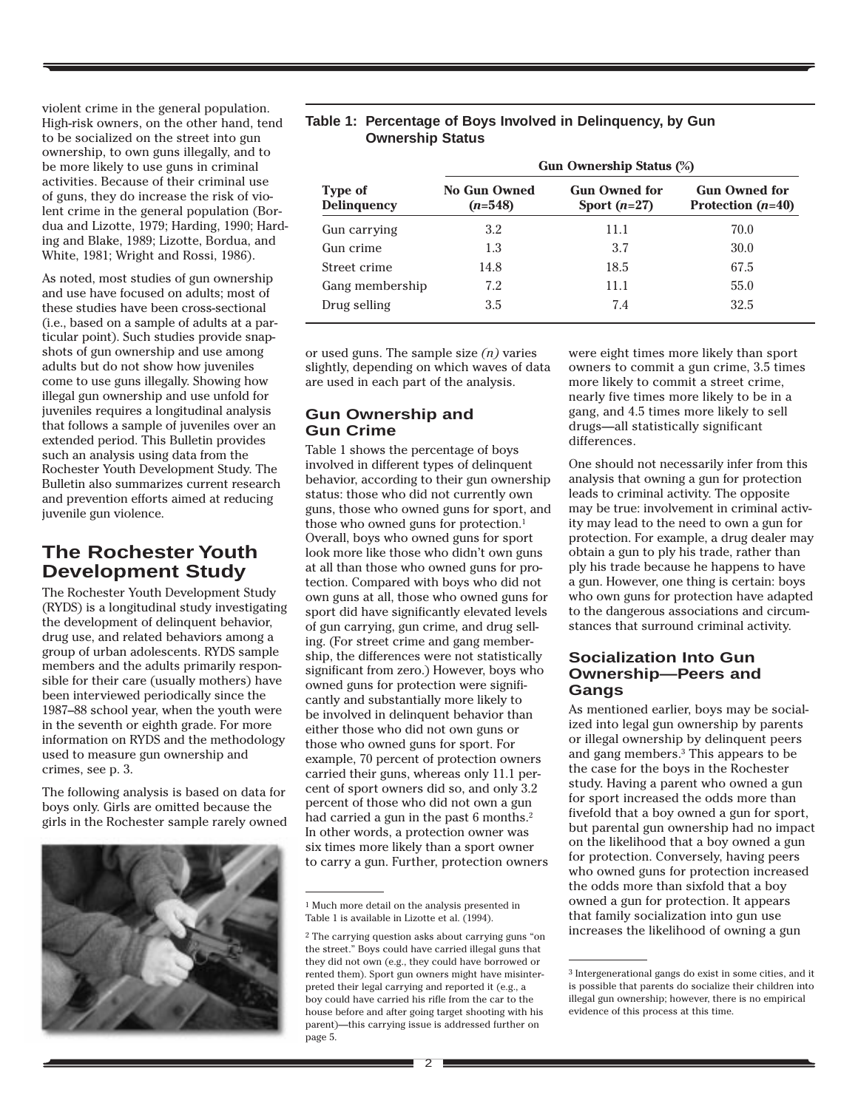violent crime in the general population. High-risk owners, on the other hand, tend to be socialized on the street into gun ownership, to own guns illegally, and to be more likely to use guns in criminal activities. Because of their criminal use of guns, they do increase the risk of violent crime in the general population (Bordua and Lizotte, 1979; Harding, 1990; Harding and Blake, 1989; Lizotte, Bordua, and White, 1981; Wright and Rossi, 1986).

As noted, most studies of gun ownership and use have focused on adults; most of these studies have been cross-sectional (i.e., based on a sample of adults at a particular point). Such studies provide snapshots of gun ownership and use among adults but do not show how juveniles come to use guns illegally. Showing how illegal gun ownership and use unfold for juveniles requires a longitudinal analysis that follows a sample of juveniles over an extended period. This Bulletin provides such an analysis using data from the Rochester Youth Development Study. The Bulletin also summarizes current research and prevention efforts aimed at reducing juvenile gun violence.

# **The Rochester Youth Development Study**

The Rochester Youth Development Study (RYDS) is a longitudinal study investigating the development of delinquent behavior, drug use, and related behaviors among a group of urban adolescents. RYDS sample members and the adults primarily responsible for their care (usually mothers) have been interviewed periodically since the 1987–88 school year, when the youth were in the seventh or eighth grade. For more information on RYDS and the methodology used to measure gun ownership and crimes, see p. 3.

The following analysis is based on data for boys only. Girls are omitted because the girls in the Rochester sample rarely owned



#### **Table 1: Percentage of Boys Involved in Delinquency, by Gun Ownership Status**

|                               | <b>Gun Ownership Status (%)</b>  |                                        |                                             |  |  |  |
|-------------------------------|----------------------------------|----------------------------------------|---------------------------------------------|--|--|--|
| Type of<br><b>Delinguency</b> | <b>No Gun Owned</b><br>$(n=548)$ | <b>Gun Owned for</b><br>Sport $(n=27)$ | <b>Gun Owned for</b><br>Protection $(n=40)$ |  |  |  |
| Gun carrying                  | 3.2                              | 11.1                                   | 70.0                                        |  |  |  |
| Gun crime                     | 1.3                              | 3.7                                    | 30.0                                        |  |  |  |
| Street crime                  | 14.8                             | 18.5                                   | 67.5                                        |  |  |  |
| Gang membership               | 7.2                              | 11.1                                   | 55.0                                        |  |  |  |
| Drug selling                  | 3.5                              | 7.4                                    | 32.5                                        |  |  |  |

or used guns. The sample size *(n)* varies slightly, depending on which waves of data are used in each part of the analysis.

### **Gun Ownership and Gun Crime**

Table 1 shows the percentage of boys involved in different types of delinquent behavior, according to their gun ownership status: those who did not currently own guns, those who owned guns for sport, and those who owned guns for protection.<sup>1</sup> Overall, boys who owned guns for sport look more like those who didn't own guns at all than those who owned guns for protection. Compared with boys who did not own guns at all, those who owned guns for sport did have significantly elevated levels of gun carrying, gun crime, and drug selling. (For street crime and gang membership, the differences were not statistically significant from zero.) However, boys who owned guns for protection were significantly and substantially more likely to be involved in delinquent behavior than either those who did not own guns or those who owned guns for sport. For example, 70 percent of protection owners carried their guns, whereas only 11.1 percent of sport owners did so, and only 3.2 percent of those who did not own a gun had carried a gun in the past 6 months.<sup>2</sup> In other words, a protection owner was six times more likely than a sport owner to carry a gun. Further, protection owners

were eight times more likely than sport owners to commit a gun crime, 3.5 times more likely to commit a street crime, nearly five times more likely to be in a gang, and 4.5 times more likely to sell drugs—all statistically significant differences.

One should not necessarily infer from this analysis that owning a gun for protection leads to criminal activity. The opposite may be true: involvement in criminal activity may lead to the need to own a gun for protection. For example, a drug dealer may obtain a gun to ply his trade, rather than ply his trade because he happens to have a gun. However, one thing is certain: boys who own guns for protection have adapted to the dangerous associations and circumstances that surround criminal activity.

#### **Socialization Into Gun Ownership—Peers and Gangs**

As mentioned earlier, boys may be socialized into legal gun ownership by parents or illegal ownership by delinquent peers and gang members.3 This appears to be the case for the boys in the Rochester study. Having a parent who owned a gun for sport increased the odds more than fivefold that a boy owned a gun for sport, but parental gun ownership had no impact on the likelihood that a boy owned a gun for protection. Conversely, having peers who owned guns for protection increased the odds more than sixfold that a boy owned a gun for protection. It appears that family socialization into gun use increases the likelihood of owning a gun

<sup>1</sup> Much more detail on the analysis presented in Table 1 is available in Lizotte et al. (1994).

<sup>2</sup> The carrying question asks about carrying guns "on the street." Boys could have carried illegal guns that they did not own (e.g., they could have borrowed or rented them). Sport gun owners might have misinterpreted their legal carrying and reported it (e.g., a boy could have carried his rifle from the car to the house before and after going target shooting with his parent)—this carrying issue is addressed further on page 5.

<sup>3</sup> Intergenerational gangs do exist in some cities, and it is possible that parents do socialize their children into illegal gun ownership; however, there is no empirical evidence of this process at this time.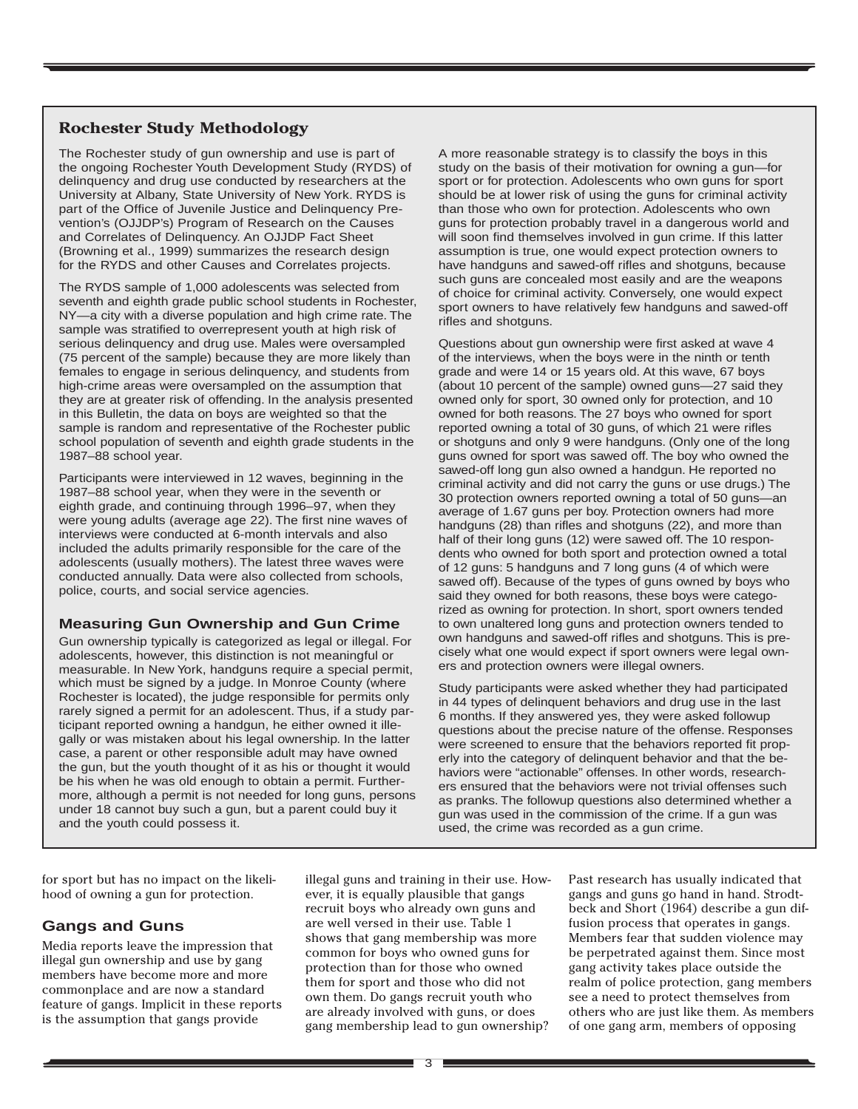### **Rochester Study Methodology**

The Rochester study of gun ownership and use is part of the ongoing Rochester Youth Development Study (RYDS) of delinquency and drug use conducted by researchers at the University at Albany, State University of New York. RYDS is part of the Office of Juvenile Justice and Delinquency Prevention's (OJJDP's) Program of Research on the Causes and Correlates of Delinquency. An OJJDP Fact Sheet (Browning et al., 1999) summarizes the research design for the RYDS and other Causes and Correlates projects.

The RYDS sample of 1,000 adolescents was selected from seventh and eighth grade public school students in Rochester, NY—a city with a diverse population and high crime rate. The sample was stratified to overrepresent youth at high risk of serious delinquency and drug use. Males were oversampled (75 percent of the sample) because they are more likely than females to engage in serious delinquency, and students from high-crime areas were oversampled on the assumption that they are at greater risk of offending. In the analysis presented in this Bulletin, the data on boys are weighted so that the sample is random and representative of the Rochester public school population of seventh and eighth grade students in the 1987–88 school year.

Participants were interviewed in 12 waves, beginning in the 1987–88 school year, when they were in the seventh or eighth grade, and continuing through 1996–97, when they were young adults (average age 22). The first nine waves of interviews were conducted at 6-month intervals and also included the adults primarily responsible for the care of the adolescents (usually mothers). The latest three waves were conducted annually. Data were also collected from schools, police, courts, and social service agencies.

### **Measuring Gun Ownership and Gun Crime**

Gun ownership typically is categorized as legal or illegal. For adolescents, however, this distinction is not meaningful or measurable. In New York, handguns require a special permit, which must be signed by a judge. In Monroe County (where Rochester is located), the judge responsible for permits only rarely signed a permit for an adolescent. Thus, if a study participant reported owning a handgun, he either owned it illegally or was mistaken about his legal ownership. In the latter case, a parent or other responsible adult may have owned the gun, but the youth thought of it as his or thought it would be his when he was old enough to obtain a permit. Furthermore, although a permit is not needed for long guns, persons under 18 cannot buy such a gun, but a parent could buy it and the youth could possess it.

A more reasonable strategy is to classify the boys in this study on the basis of their motivation for owning a gun—for sport or for protection. Adolescents who own guns for sport should be at lower risk of using the guns for criminal activity than those who own for protection. Adolescents who own guns for protection probably travel in a dangerous world and will soon find themselves involved in gun crime. If this latter assumption is true, one would expect protection owners to have handguns and sawed-off rifles and shotguns, because such guns are concealed most easily and are the weapons of choice for criminal activity. Conversely, one would expect sport owners to have relatively few handguns and sawed-off rifles and shotguns.

Questions about gun ownership were first asked at wave 4 of the interviews, when the boys were in the ninth or tenth grade and were 14 or 15 years old. At this wave, 67 boys (about 10 percent of the sample) owned guns—27 said they owned only for sport, 30 owned only for protection, and 10 owned for both reasons. The 27 boys who owned for sport reported owning a total of 30 guns, of which 21 were rifles or shotguns and only 9 were handguns. (Only one of the long guns owned for sport was sawed off. The boy who owned the sawed-off long gun also owned a handgun. He reported no criminal activity and did not carry the guns or use drugs.) The 30 protection owners reported owning a total of 50 guns—an average of 1.67 guns per boy. Protection owners had more handguns (28) than rifles and shotguns (22), and more than half of their long guns (12) were sawed off. The 10 respondents who owned for both sport and protection owned a total of 12 guns: 5 handguns and 7 long guns (4 of which were sawed off). Because of the types of guns owned by boys who said they owned for both reasons, these boys were categorized as owning for protection. In short, sport owners tended to own unaltered long guns and protection owners tended to own handguns and sawed-off rifles and shotguns. This is precisely what one would expect if sport owners were legal owners and protection owners were illegal owners.

Study participants were asked whether they had participated in 44 types of delinquent behaviors and drug use in the last 6 months. If they answered yes, they were asked followup questions about the precise nature of the offense. Responses were screened to ensure that the behaviors reported fit properly into the category of delinquent behavior and that the behaviors were "actionable" offenses. In other words, researchers ensured that the behaviors were not trivial offenses such as pranks. The followup questions also determined whether a gun was used in the commission of the crime. If a gun was used, the crime was recorded as a gun crime.

for sport but has no impact on the likelihood of owning a gun for protection.

### **Gangs and Guns**

Media reports leave the impression that illegal gun ownership and use by gang members have become more and more commonplace and are now a standard feature of gangs. Implicit in these reports is the assumption that gangs provide

illegal guns and training in their use. However, it is equally plausible that gangs recruit boys who already own guns and are well versed in their use. Table 1 shows that gang membership was more common for boys who owned guns for protection than for those who owned them for sport and those who did not own them. Do gangs recruit youth who are already involved with guns, or does gang membership lead to gun ownership?

Past research has usually indicated that gangs and guns go hand in hand. Strodtbeck and Short (1964) describe a gun diffusion process that operates in gangs. Members fear that sudden violence may be perpetrated against them. Since most gang activity takes place outside the realm of police protection, gang members see a need to protect themselves from others who are just like them. As members of one gang arm, members of opposing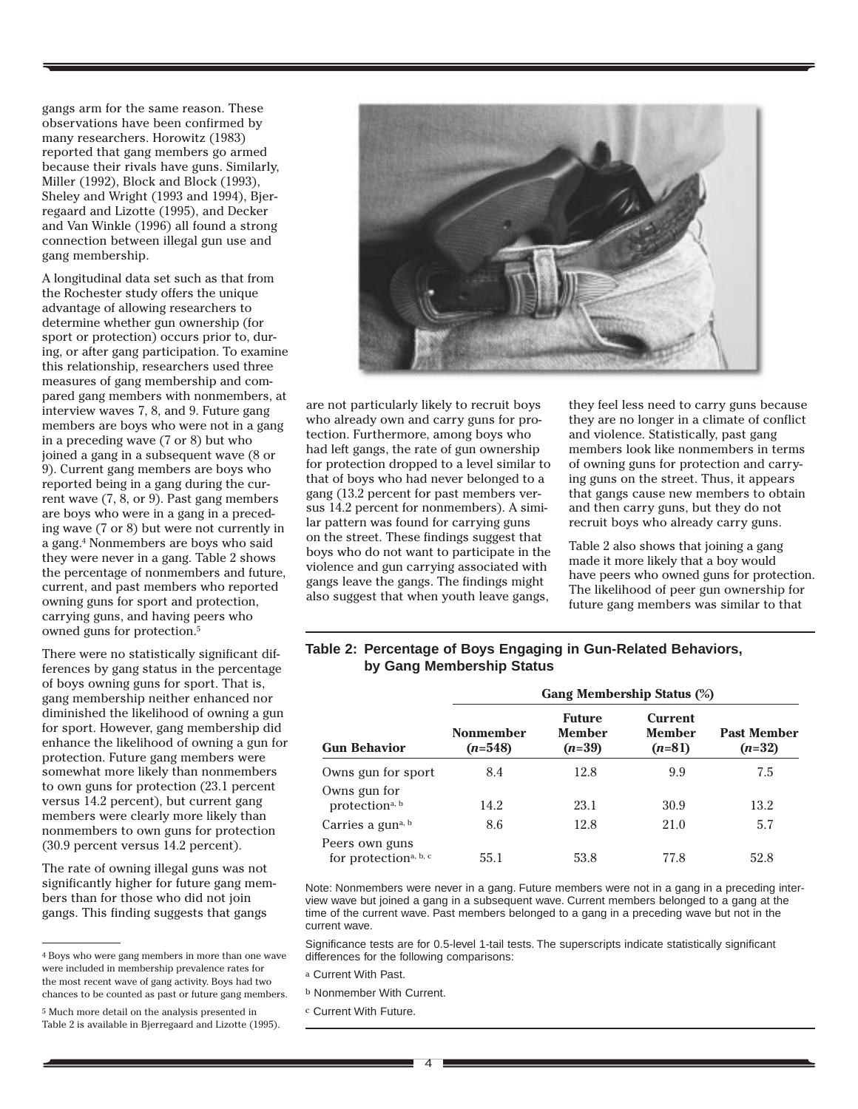gangs arm for the same reason. These observations have been confirmed by many researchers. Horowitz (1983) reported that gang members go armed because their rivals have guns. Similarly, Miller (1992), Block and Block (1993), Sheley and Wright (1993 and 1994), Bjerregaard and Lizotte (1995), and Decker and Van Winkle (1996) all found a strong connection between illegal gun use and gang membership.

A longitudinal data set such as that from the Rochester study offers the unique advantage of allowing researchers to determine whether gun ownership (for sport or protection) occurs prior to, during, or after gang participation. To examine this relationship, researchers used three measures of gang membership and compared gang members with nonmembers, at interview waves 7, 8, and 9. Future gang members are boys who were not in a gang in a preceding wave (7 or 8) but who joined a gang in a subsequent wave (8 or 9). Current gang members are boys who reported being in a gang during the current wave (7, 8, or 9). Past gang members are boys who were in a gang in a preceding wave (7 or 8) but were not currently in a gang.4 Nonmembers are boys who said they were never in a gang. Table 2 shows the percentage of nonmembers and future, current, and past members who reported owning guns for sport and protection, carrying guns, and having peers who owned guns for protection.5

There were no statistically significant differences by gang status in the percentage of boys owning guns for sport. That is, gang membership neither enhanced nor diminished the likelihood of owning a gun for sport. However, gang membership did enhance the likelihood of owning a gun for protection. Future gang members were somewhat more likely than nonmembers to own guns for protection (23.1 percent versus 14.2 percent), but current gang members were clearly more likely than nonmembers to own guns for protection (30.9 percent versus 14.2 percent).

The rate of owning illegal guns was not significantly higher for future gang members than for those who did not join gangs. This finding suggests that gangs

<sup>4</sup> Boys who were gang members in more than one wave were included in membership prevalence rates for the most recent wave of gang activity. Boys had two chances to be counted as past or future gang members.





are not particularly likely to recruit boys who already own and carry guns for protection. Furthermore, among boys who had left gangs, the rate of gun ownership for protection dropped to a level similar to that of boys who had never belonged to a gang (13.2 percent for past members versus 14.2 percent for nonmembers). A similar pattern was found for carrying guns on the street. These findings suggest that boys who do not want to participate in the violence and gun carrying associated with gangs leave the gangs. The findings might also suggest that when youth leave gangs,

they feel less need to carry guns because they are no longer in a climate of conflict and violence. Statistically, past gang members look like nonmembers in terms of owning guns for protection and carrying guns on the street. Thus, it appears that gangs cause new members to obtain and then carry guns, but they do not recruit boys who already carry guns.

Table 2 also shows that joining a gang made it more likely that a boy would have peers who owned guns for protection. The likelihood of peer gun ownership for future gang members was similar to that

#### **Table 2: Percentage of Boys Engaging in Gun-Related Behaviors, by Gang Membership Status**

| <b>Gun Behavior</b>                                 | Gang Membership Status (%) |                                            |                                             |                                |  |  |  |
|-----------------------------------------------------|----------------------------|--------------------------------------------|---------------------------------------------|--------------------------------|--|--|--|
|                                                     | Nonmember<br>$(n=548)$     | <b>Future</b><br><b>Member</b><br>$(n=39)$ | <b>Current</b><br><b>Member</b><br>$(n=81)$ | <b>Past Member</b><br>$(n=32)$ |  |  |  |
| Owns gun for sport                                  | 8.4                        | 12.8                                       | 9.9                                         | 7.5                            |  |  |  |
| Owns gun for<br>protection <sup>a, b</sup>          | 14.2                       | 23.1                                       | 30.9                                        | 13.2                           |  |  |  |
| Carries a gun <sup>a, b</sup>                       | 8.6                        | 12.8                                       | 21.0                                        | 5.7                            |  |  |  |
| Peers own guns<br>for protection <sup>a, b, c</sup> | 55.1                       | 53.8                                       | 77.8                                        | 52.8                           |  |  |  |

Note: Nonmembers were never in a gang. Future members were not in a gang in a preceding interview wave but joined a gang in a subsequent wave. Current members belonged to a gang at the time of the current wave. Past members belonged to a gang in a preceding wave but not in the current wave.

Significance tests are for 0.5-level 1-tail tests. The superscripts indicate statistically significant differences for the following comparisons:

- a Current With Past.
- b Nonmember With Current.
- c Current With Future.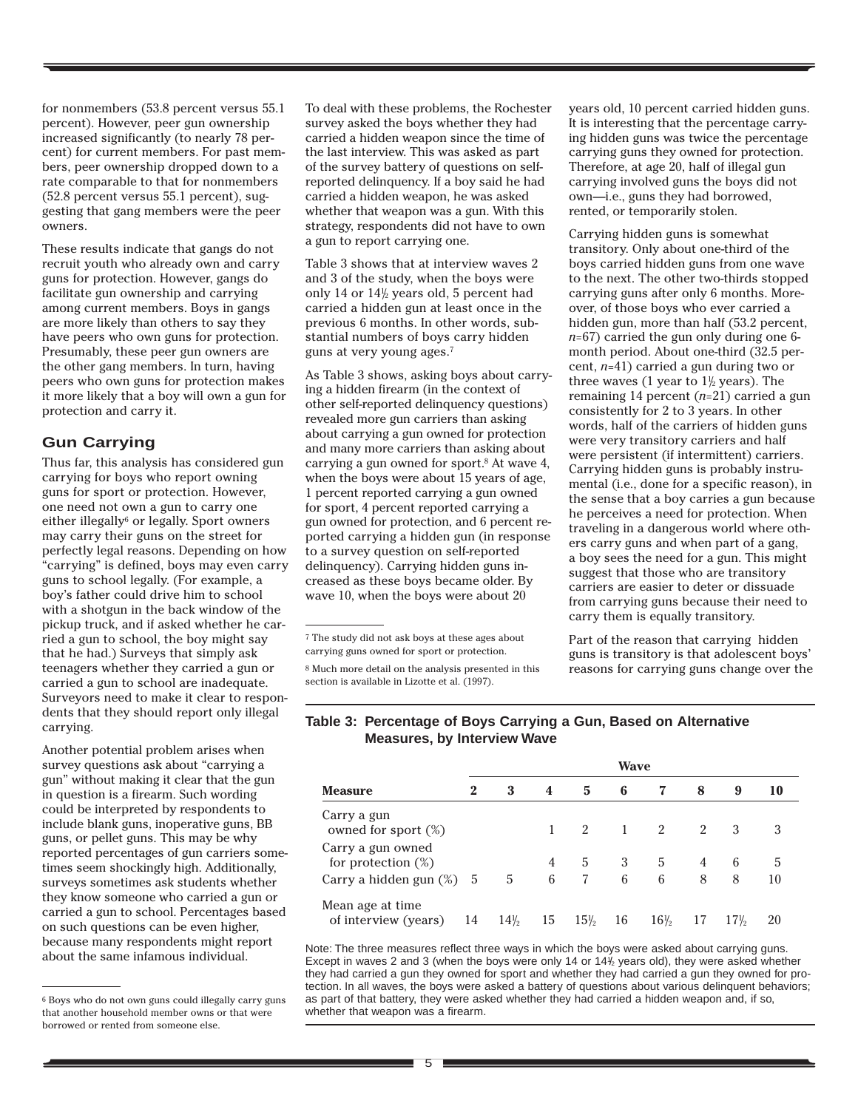for nonmembers (53.8 percent versus 55.1 percent). However, peer gun ownership increased significantly (to nearly 78 percent) for current members. For past members, peer ownership dropped down to a rate comparable to that for nonmembers (52.8 percent versus 55.1 percent), suggesting that gang members were the peer owners.

These results indicate that gangs do not recruit youth who already own and carry guns for protection. However, gangs do facilitate gun ownership and carrying among current members. Boys in gangs are more likely than others to say they have peers who own guns for protection. Presumably, these peer gun owners are the other gang members. In turn, having peers who own guns for protection makes it more likely that a boy will own a gun for protection and carry it.

### **Gun Carrying**

Thus far, this analysis has considered gun carrying for boys who report owning guns for sport or protection. However, one need not own a gun to carry one either illegally<sup>6</sup> or legally. Sport owners may carry their guns on the street for perfectly legal reasons. Depending on how "carrying" is defined, boys may even carry guns to school legally. (For example, a boy's father could drive him to school with a shotgun in the back window of the pickup truck, and if asked whether he carried a gun to school, the boy might say that he had.) Surveys that simply ask teenagers whether they carried a gun or carried a gun to school are inadequate. Surveyors need to make it clear to respondents that they should report only illegal carrying.

Another potential problem arises when survey questions ask about "carrying a gun" without making it clear that the gun in question is a firearm. Such wording could be interpreted by respondents to include blank guns, inoperative guns, BB guns, or pellet guns. This may be why reported percentages of gun carriers sometimes seem shockingly high. Additionally, surveys sometimes ask students whether they know someone who carried a gun or carried a gun to school. Percentages based on such questions can be even higher, because many respondents might report about the same infamous individual.

To deal with these problems, the Rochester survey asked the boys whether they had carried a hidden weapon since the time of the last interview. This was asked as part of the survey battery of questions on selfreported delinquency. If a boy said he had carried a hidden weapon, he was asked whether that weapon was a gun. With this strategy, respondents did not have to own a gun to report carrying one.

Table 3 shows that at interview waves 2 and 3 of the study, when the boys were only 14 or  $14\frac{1}{2}$  years old, 5 percent had carried a hidden gun at least once in the previous 6 months. In other words, substantial numbers of boys carry hidden guns at very young ages.7

As Table 3 shows, asking boys about carrying a hidden firearm (in the context of other self-reported delinquency questions) revealed more gun carriers than asking about carrying a gun owned for protection and many more carriers than asking about carrying a gun owned for sport.<sup>8</sup> At wave 4, when the boys were about 15 years of age, 1 percent reported carrying a gun owned for sport, 4 percent reported carrying a gun owned for protection, and 6 percent reported carrying a hidden gun (in response to a survey question on self-reported delinquency). Carrying hidden guns increased as these boys became older. By wave 10, when the boys were about 20

 $^7$  The study did not ask boys at these ages about carrying guns owned for sport or protection.

8 Much more detail on the analysis presented in this section is available in Lizotte et al. (1997).

years old, 10 percent carried hidden guns. It is interesting that the percentage carrying hidden guns was twice the percentage carrying guns they owned for protection. Therefore, at age 20, half of illegal gun carrying involved guns the boys did not own—i.e., guns they had borrowed, rented, or temporarily stolen.

Carrying hidden guns is somewhat transitory. Only about one-third of the boys carried hidden guns from one wave to the next. The other two-thirds stopped carrying guns after only 6 months. Moreover, of those boys who ever carried a hidden gun, more than half (53.2 percent, *n*=67) carried the gun only during one 6 month period. About one-third (32.5 percent, *n*=41) carried a gun during two or three waves (1 year to  $1\frac{1}{2}$  years). The remaining 14 percent (*n*=21) carried a gun consistently for 2 to 3 years. In other words, half of the carriers of hidden guns were very transitory carriers and half were persistent (if intermittent) carriers. Carrying hidden guns is probably instrumental (i.e., done for a specific reason), in the sense that a boy carries a gun because he perceives a need for protection. When traveling in a dangerous world where others carry guns and when part of a gang, a boy sees the need for a gun. This might suggest that those who are transitory carriers are easier to deter or dissuade from carrying guns because their need to carry them is equally transitory.

Part of the reason that carrying hidden guns is transitory is that adolescent boys' reasons for carrying guns change over the

#### **Table 3: Percentage of Boys Carrying a Gun, Based on Alternative Measures, by Interview Wave**

|                                            | Wave |                 |    |        |    |                 |    |        |    |
|--------------------------------------------|------|-----------------|----|--------|----|-----------------|----|--------|----|
| <b>Measure</b>                             | 2    | 3               | 4  | 5      | 6  |                 | 8  | 9      | 10 |
| Carry a gun<br>owned for sport $(\%)$      |      |                 |    | 2      |    | 2               | 2  |        |    |
| Carry a gun owned<br>for protection $(\%)$ |      |                 | 4  | 5      | 3  | 5               | 4  | 6      | 5  |
| Carry a hidden gun $(\%)$ 5                |      | 5               | 6  |        | 6  | 6               | 8  | 8      | 10 |
| Mean age at time.<br>of interview (years)  | 14   | $14\frac{1}{2}$ | 15 | $15\%$ | 16 | $16\frac{1}{2}$ | 17 | $17\%$ | 20 |

Note: The three measures reflect three ways in which the boys were asked about carrying guns. Except in waves 2 and 3 (when the boys were only 14 or 14 $\frac{1}{2}$  years old), they were asked whether they had carried a gun they owned for sport and whether they had carried a gun they owned for protection. In all waves, the boys were asked a battery of questions about various delinquent behaviors; as part of that battery, they were asked whether they had carried a hidden weapon and, if so, whether that weapon was a firearm.

<sup>6</sup> Boys who do not own guns could illegally carry guns that another household member owns or that were borrowed or rented from someone else.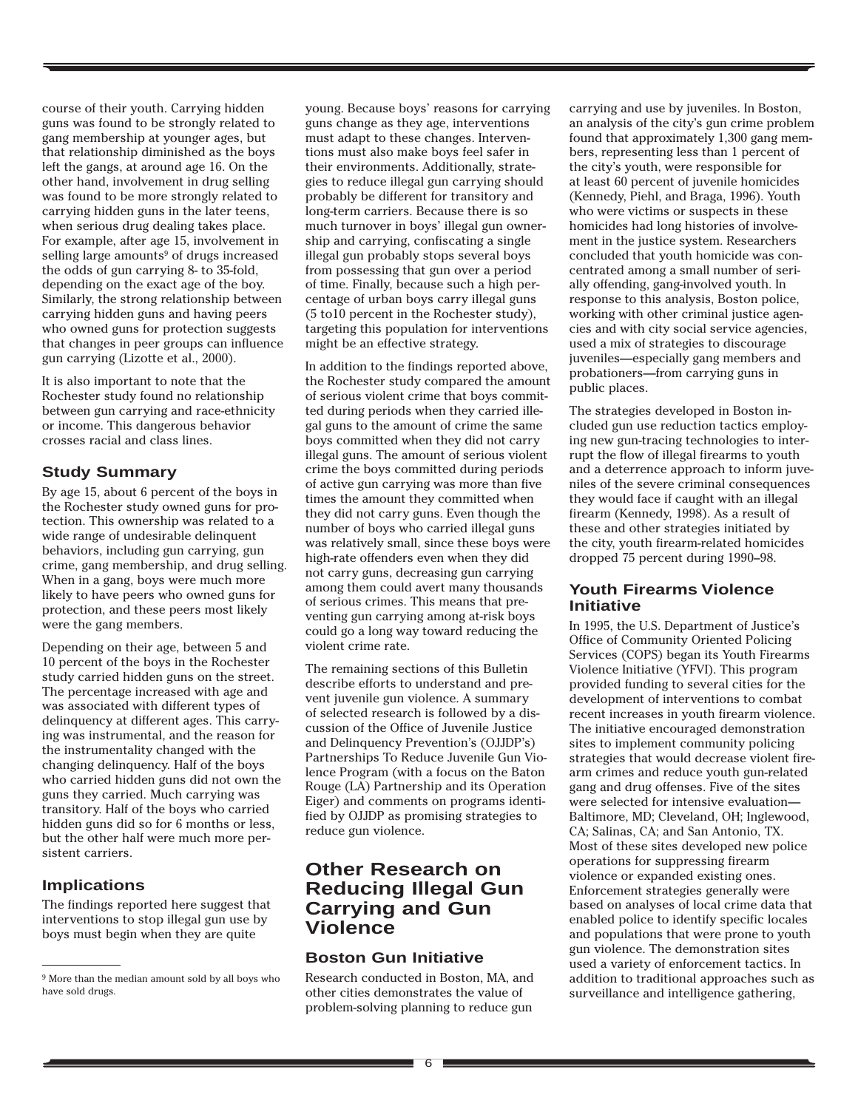course of their youth. Carrying hidden guns was found to be strongly related to gang membership at younger ages, but that relationship diminished as the boys left the gangs, at around age 16. On the other hand, involvement in drug selling was found to be more strongly related to carrying hidden guns in the later teens, when serious drug dealing takes place. For example, after age 15, involvement in selling large amounts<sup>9</sup> of drugs increased the odds of gun carrying 8- to 35-fold, depending on the exact age of the boy. Similarly, the strong relationship between carrying hidden guns and having peers who owned guns for protection suggests that changes in peer groups can influence gun carrying (Lizotte et al., 2000).

It is also important to note that the Rochester study found no relationship between gun carrying and race-ethnicity or income. This dangerous behavior crosses racial and class lines.

### **Study Summary**

By age 15, about 6 percent of the boys in the Rochester study owned guns for protection. This ownership was related to a wide range of undesirable delinquent behaviors, including gun carrying, gun crime, gang membership, and drug selling. When in a gang, boys were much more likely to have peers who owned guns for protection, and these peers most likely were the gang members.

Depending on their age, between 5 and 10 percent of the boys in the Rochester study carried hidden guns on the street. The percentage increased with age and was associated with different types of delinquency at different ages. This carrying was instrumental, and the reason for the instrumentality changed with the changing delinquency. Half of the boys who carried hidden guns did not own the guns they carried. Much carrying was transitory. Half of the boys who carried hidden guns did so for 6 months or less, but the other half were much more persistent carriers.

### **Implications**

The findings reported here suggest that interventions to stop illegal gun use by boys must begin when they are quite

young. Because boys' reasons for carrying guns change as they age, interventions must adapt to these changes. Interventions must also make boys feel safer in their environments. Additionally, strategies to reduce illegal gun carrying should probably be different for transitory and long-term carriers. Because there is so much turnover in boys' illegal gun ownership and carrying, confiscating a single illegal gun probably stops several boys from possessing that gun over a period of time. Finally, because such a high percentage of urban boys carry illegal guns (5 to10 percent in the Rochester study), targeting this population for interventions might be an effective strategy.

In addition to the findings reported above, the Rochester study compared the amount of serious violent crime that boys committed during periods when they carried illegal guns to the amount of crime the same boys committed when they did not carry illegal guns. The amount of serious violent crime the boys committed during periods of active gun carrying was more than five times the amount they committed when they did not carry guns. Even though the number of boys who carried illegal guns was relatively small, since these boys were high-rate offenders even when they did not carry guns, decreasing gun carrying among them could avert many thousands of serious crimes. This means that preventing gun carrying among at-risk boys could go a long way toward reducing the violent crime rate.

The remaining sections of this Bulletin describe efforts to understand and prevent juvenile gun violence. A summary of selected research is followed by a discussion of the Office of Juvenile Justice and Delinquency Prevention's (OJJDP's) Partnerships To Reduce Juvenile Gun Violence Program (with a focus on the Baton Rouge (LA) Partnership and its Operation Eiger) and comments on programs identified by OJJDP as promising strategies to reduce gun violence.

# **Other Research on Reducing Illegal Gun Carrying and Gun Violence**

### **Boston Gun Initiative**

Research conducted in Boston, MA, and other cities demonstrates the value of problem-solving planning to reduce gun

carrying and use by juveniles. In Boston, an analysis of the city's gun crime problem found that approximately 1,300 gang members, representing less than 1 percent of the city's youth, were responsible for at least 60 percent of juvenile homicides (Kennedy, Piehl, and Braga, 1996). Youth who were victims or suspects in these homicides had long histories of involvement in the justice system. Researchers concluded that youth homicide was concentrated among a small number of serially offending, gang-involved youth. In response to this analysis, Boston police, working with other criminal justice agencies and with city social service agencies, used a mix of strategies to discourage juveniles—especially gang members and probationers—from carrying guns in public places.

The strategies developed in Boston included gun use reduction tactics employing new gun-tracing technologies to interrupt the flow of illegal firearms to youth and a deterrence approach to inform juveniles of the severe criminal consequences they would face if caught with an illegal firearm (Kennedy, 1998). As a result of these and other strategies initiated by the city, youth firearm-related homicides dropped 75 percent during 1990–98.

### **Youth Firearms Violence Initiative**

In 1995, the U.S. Department of Justice's Office of Community Oriented Policing Services (COPS) began its Youth Firearms Violence Initiative (YFVI). This program provided funding to several cities for the development of interventions to combat recent increases in youth firearm violence. The initiative encouraged demonstration sites to implement community policing strategies that would decrease violent firearm crimes and reduce youth gun-related gang and drug offenses. Five of the sites were selected for intensive evaluation— Baltimore, MD; Cleveland, OH; Inglewood, CA; Salinas, CA; and San Antonio, TX. Most of these sites developed new police operations for suppressing firearm violence or expanded existing ones. Enforcement strategies generally were based on analyses of local crime data that enabled police to identify specific locales and populations that were prone to youth gun violence. The demonstration sites used a variety of enforcement tactics. In addition to traditional approaches such as surveillance and intelligence gathering,

<sup>9</sup> More than the median amount sold by all boys who have sold drugs.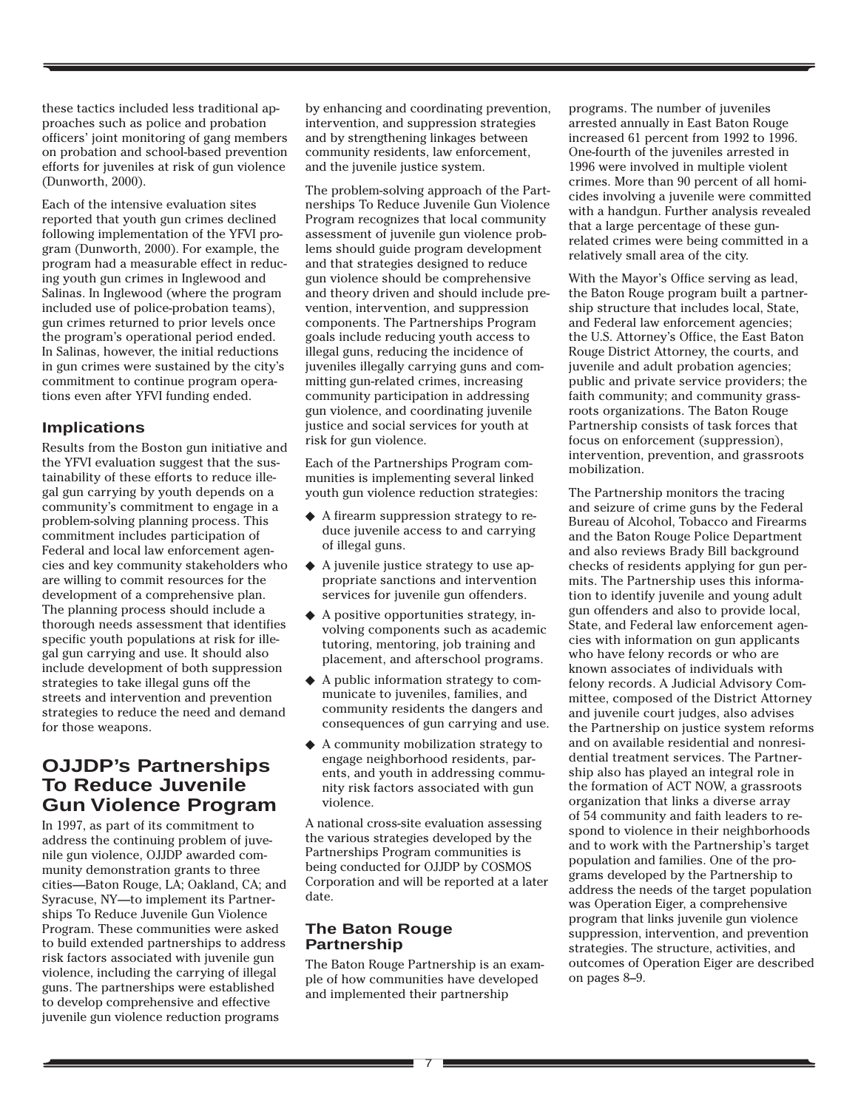these tactics included less traditional approaches such as police and probation officers' joint monitoring of gang members on probation and school-based prevention efforts for juveniles at risk of gun violence (Dunworth, 2000).

Each of the intensive evaluation sites reported that youth gun crimes declined following implementation of the YFVI program (Dunworth, 2000). For example, the program had a measurable effect in reducing youth gun crimes in Inglewood and Salinas. In Inglewood (where the program included use of police-probation teams), gun crimes returned to prior levels once the program's operational period ended. In Salinas, however, the initial reductions in gun crimes were sustained by the city's commitment to continue program operations even after YFVI funding ended.

### **Implications**

Results from the Boston gun initiative and the YFVI evaluation suggest that the sustainability of these efforts to reduce illegal gun carrying by youth depends on a community's commitment to engage in a problem-solving planning process. This commitment includes participation of Federal and local law enforcement agencies and key community stakeholders who are willing to commit resources for the development of a comprehensive plan. The planning process should include a thorough needs assessment that identifies specific youth populations at risk for illegal gun carrying and use. It should also include development of both suppression strategies to take illegal guns off the streets and intervention and prevention strategies to reduce the need and demand for those weapons.

# **OJJDP's Partnerships To Reduce Juvenile Gun Violence Program**

In 1997, as part of its commitment to address the continuing problem of juvenile gun violence, OJJDP awarded community demonstration grants to three cities—Baton Rouge, LA; Oakland, CA; and Syracuse, NY—to implement its Partnerships To Reduce Juvenile Gun Violence Program. These communities were asked to build extended partnerships to address risk factors associated with juvenile gun violence, including the carrying of illegal guns. The partnerships were established to develop comprehensive and effective juvenile gun violence reduction programs

by enhancing and coordinating prevention, intervention, and suppression strategies and by strengthening linkages between community residents, law enforcement, and the juvenile justice system.

The problem-solving approach of the Partnerships To Reduce Juvenile Gun Violence Program recognizes that local community assessment of juvenile gun violence problems should guide program development and that strategies designed to reduce gun violence should be comprehensive and theory driven and should include prevention, intervention, and suppression components. The Partnerships Program goals include reducing youth access to illegal guns, reducing the incidence of juveniles illegally carrying guns and committing gun-related crimes, increasing community participation in addressing gun violence, and coordinating juvenile justice and social services for youth at risk for gun violence.

Each of the Partnerships Program communities is implementing several linked youth gun violence reduction strategies:

- ◆ A firearm suppression strategy to reduce juvenile access to and carrying of illegal guns.
- ◆ A juvenile justice strategy to use appropriate sanctions and intervention services for juvenile gun offenders.
- ◆ A positive opportunities strategy, involving components such as academic tutoring, mentoring, job training and placement, and afterschool programs.
- ◆ A public information strategy to communicate to juveniles, families, and community residents the dangers and consequences of gun carrying and use.
- ◆ A community mobilization strategy to engage neighborhood residents, parents, and youth in addressing community risk factors associated with gun violence.

A national cross-site evaluation assessing the various strategies developed by the Partnerships Program communities is being conducted for OJJDP by COSMOS Corporation and will be reported at a later date.

### **The Baton Rouge Partnership**

The Baton Rouge Partnership is an example of how communities have developed and implemented their partnership

programs. The number of juveniles arrested annually in East Baton Rouge increased 61 percent from 1992 to 1996. One-fourth of the juveniles arrested in 1996 were involved in multiple violent crimes. More than 90 percent of all homicides involving a juvenile were committed with a handgun. Further analysis revealed that a large percentage of these gunrelated crimes were being committed in a relatively small area of the city.

With the Mayor's Office serving as lead, the Baton Rouge program built a partnership structure that includes local, State, and Federal law enforcement agencies; the U.S. Attorney's Office, the East Baton Rouge District Attorney, the courts, and juvenile and adult probation agencies; public and private service providers; the faith community; and community grassroots organizations. The Baton Rouge Partnership consists of task forces that focus on enforcement (suppression), intervention, prevention, and grassroots mobilization.

The Partnership monitors the tracing and seizure of crime guns by the Federal Bureau of Alcohol, Tobacco and Firearms and the Baton Rouge Police Department and also reviews Brady Bill background checks of residents applying for gun permits. The Partnership uses this information to identify juvenile and young adult gun offenders and also to provide local, State, and Federal law enforcement agencies with information on gun applicants who have felony records or who are known associates of individuals with felony records. A Judicial Advisory Committee, composed of the District Attorney and juvenile court judges, also advises the Partnership on justice system reforms and on available residential and nonresidential treatment services. The Partnership also has played an integral role in the formation of ACT NOW, a grassroots organization that links a diverse array of 54 community and faith leaders to respond to violence in their neighborhoods and to work with the Partnership's target population and families. One of the programs developed by the Partnership to address the needs of the target population was Operation Eiger, a comprehensive program that links juvenile gun violence suppression, intervention, and prevention strategies. The structure, activities, and outcomes of Operation Eiger are described on pages 8–9.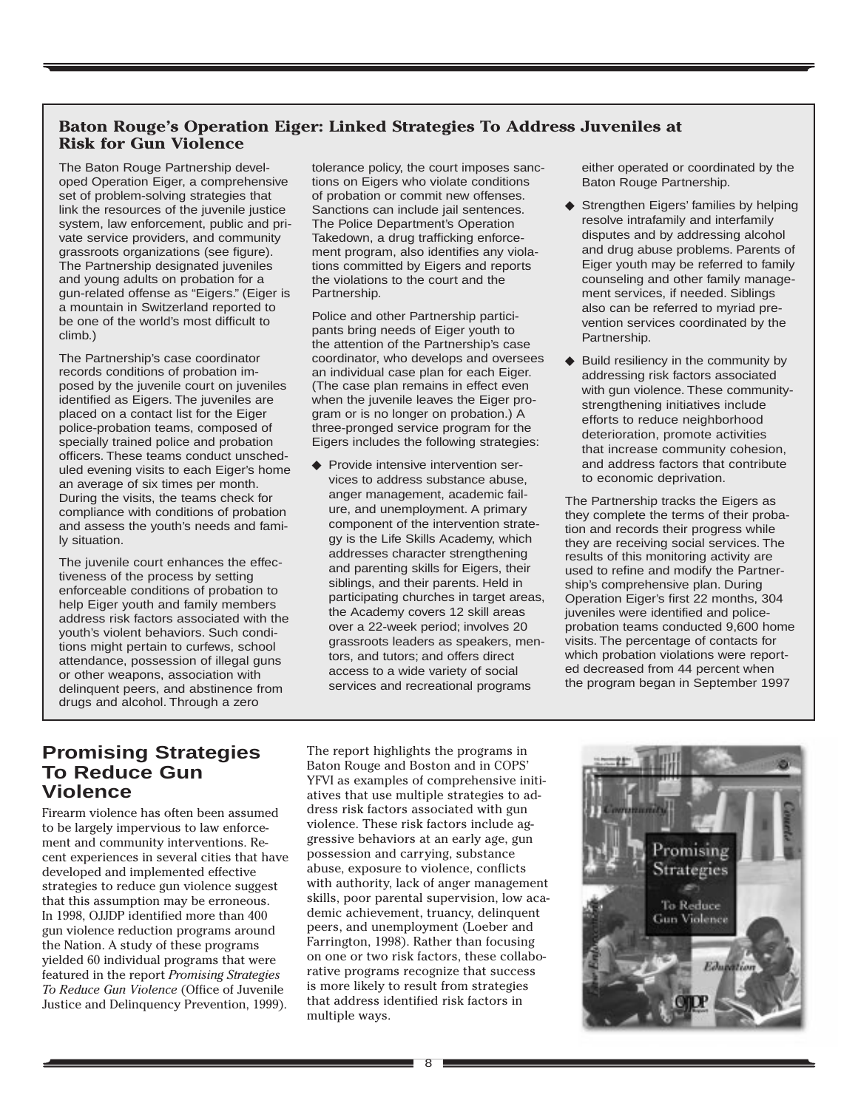# **Baton Rouge's Operation Eiger: Linked Strategies To Address Juveniles at Risk for Gun Violence**

The Baton Rouge Partnership developed Operation Eiger, a comprehensive set of problem-solving strategies that link the resources of the juvenile justice system, law enforcement, public and private service providers, and community grassroots organizations (see figure). The Partnership designated juveniles and young adults on probation for a gun-related offense as "Eigers." (Eiger is a mountain in Switzerland reported to be one of the world's most difficult to climb.)

The Partnership's case coordinator records conditions of probation imposed by the juvenile court on juveniles identified as Eigers. The juveniles are placed on a contact list for the Eiger police-probation teams, composed of specially trained police and probation officers. These teams conduct unscheduled evening visits to each Eiger's home an average of six times per month. During the visits, the teams check for compliance with conditions of probation and assess the youth's needs and family situation.

The juvenile court enhances the effectiveness of the process by setting enforceable conditions of probation to help Eiger youth and family members address risk factors associated with the youth's violent behaviors. Such conditions might pertain to curfews, school attendance, possession of illegal guns or other weapons, association with delinquent peers, and abstinence from drugs and alcohol. Through a zero

tolerance policy, the court imposes sanctions on Eigers who violate conditions of probation or commit new offenses. Sanctions can include jail sentences. The Police Department's Operation Takedown, a drug trafficking enforcement program, also identifies any violations committed by Eigers and reports the violations to the court and the Partnership.

Police and other Partnership participants bring needs of Eiger youth to the attention of the Partnership's case coordinator, who develops and oversees an individual case plan for each Eiger. (The case plan remains in effect even when the juvenile leaves the Eiger program or is no longer on probation.) A three-pronged service program for the Eigers includes the following strategies:

◆ Provide intensive intervention services to address substance abuse, anger management, academic failure, and unemployment. A primary component of the intervention strategy is the Life Skills Academy, which addresses character strengthening and parenting skills for Eigers, their siblings, and their parents. Held in participating churches in target areas, the Academy covers 12 skill areas over a 22-week period; involves 20 grassroots leaders as speakers, mentors, and tutors; and offers direct access to a wide variety of social services and recreational programs

either operated or coordinated by the Baton Rouge Partnership.

- ◆ Strengthen Eigers' families by helping resolve intrafamily and interfamily disputes and by addressing alcohol and drug abuse problems. Parents of Eiger youth may be referred to family counseling and other family management services, if needed. Siblings also can be referred to myriad prevention services coordinated by the Partnership.
- ◆ Build resiliency in the community by addressing risk factors associated with gun violence. These communitystrengthening initiatives include efforts to reduce neighborhood deterioration, promote activities that increase community cohesion, and address factors that contribute to economic deprivation.

The Partnership tracks the Eigers as they complete the terms of their probation and records their progress while they are receiving social services. The results of this monitoring activity are used to refine and modify the Partnership's comprehensive plan. During Operation Eiger's first 22 months, 304 juveniles were identified and policeprobation teams conducted 9,600 home visits. The percentage of contacts for which probation violations were reported decreased from 44 percent when the program began in September 1997

# **Promising Strategies To Reduce Gun Violence**

Firearm violence has often been assumed to be largely impervious to law enforcement and community interventions. Recent experiences in several cities that have developed and implemented effective strategies to reduce gun violence suggest that this assumption may be erroneous. In 1998, OJJDP identified more than 400 gun violence reduction programs around the Nation. A study of these programs yielded 60 individual programs that were featured in the report *Promising Strategies To Reduce Gun Violence* (Office of Juvenile Justice and Delinquency Prevention, 1999).

The report highlights the programs in Baton Rouge and Boston and in COPS' YFVI as examples of comprehensive initiatives that use multiple strategies to address risk factors associated with gun violence. These risk factors include aggressive behaviors at an early age, gun possession and carrying, substance abuse, exposure to violence, conflicts with authority, lack of anger management skills, poor parental supervision, low academic achievement, truancy, delinquent peers, and unemployment (Loeber and Farrington, 1998). Rather than focusing on one or two risk factors, these collaborative programs recognize that success is more likely to result from strategies that address identified risk factors in multiple ways.

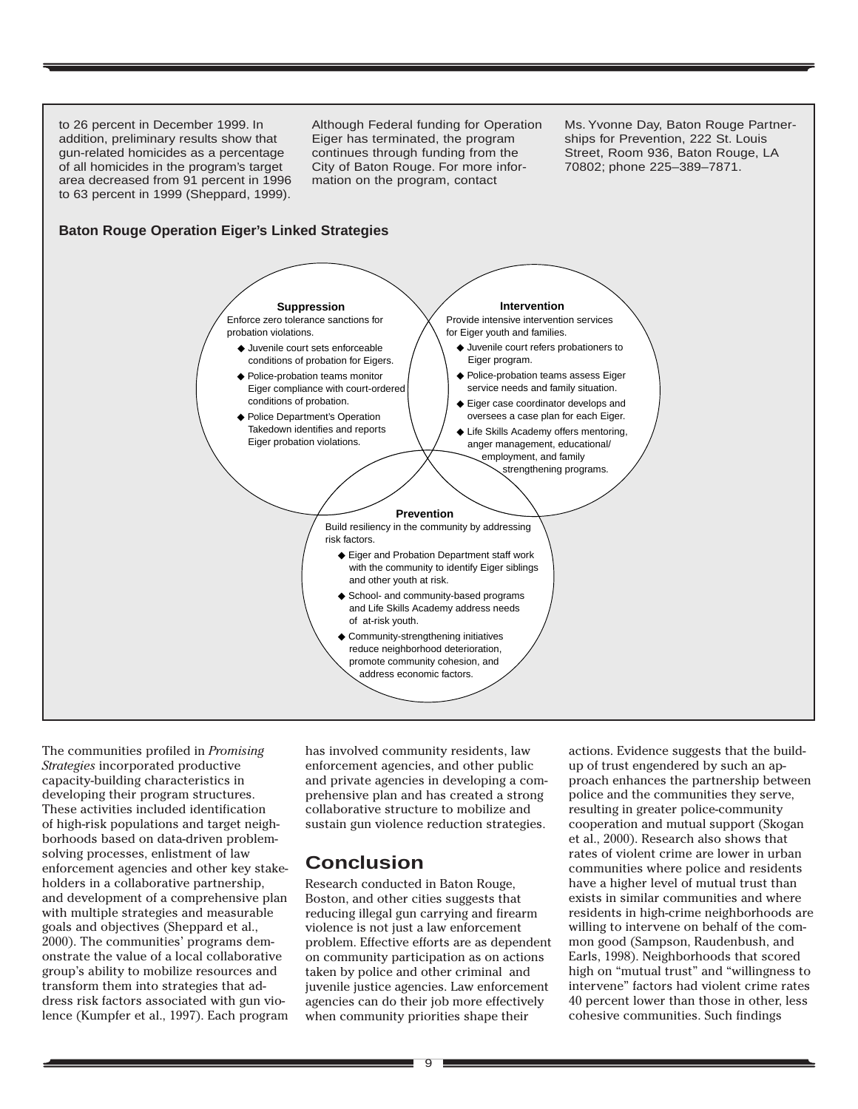

The communities profiled in *Promising Strategies* incorporated productive capacity-building characteristics in developing their program structures. These activities included identification of high-risk populations and target neighborhoods based on data-driven problemsolving processes, enlistment of law enforcement agencies and other key stakeholders in a collaborative partnership, and development of a comprehensive plan with multiple strategies and measurable goals and objectives (Sheppard et al., 2000). The communities' programs demonstrate the value of a local collaborative group's ability to mobilize resources and transform them into strategies that address risk factors associated with gun violence (Kumpfer et al., 1997). Each program has involved community residents, law enforcement agencies, and other public and private agencies in developing a comprehensive plan and has created a strong collaborative structure to mobilize and sustain gun violence reduction strategies.

# **Conclusion**

Research conducted in Baton Rouge, Boston, and other cities suggests that reducing illegal gun carrying and firearm violence is not just a law enforcement problem. Effective efforts are as dependent on community participation as on actions taken by police and other criminal and juvenile justice agencies. Law enforcement agencies can do their job more effectively when community priorities shape their

actions. Evidence suggests that the buildup of trust engendered by such an approach enhances the partnership between police and the communities they serve, resulting in greater police-community cooperation and mutual support (Skogan et al., 2000). Research also shows that rates of violent crime are lower in urban communities where police and residents have a higher level of mutual trust than exists in similar communities and where residents in high-crime neighborhoods are willing to intervene on behalf of the common good (Sampson, Raudenbush, and Earls, 1998). Neighborhoods that scored high on "mutual trust" and "willingness to intervene" factors had violent crime rates 40 percent lower than those in other, less cohesive communities. Such findings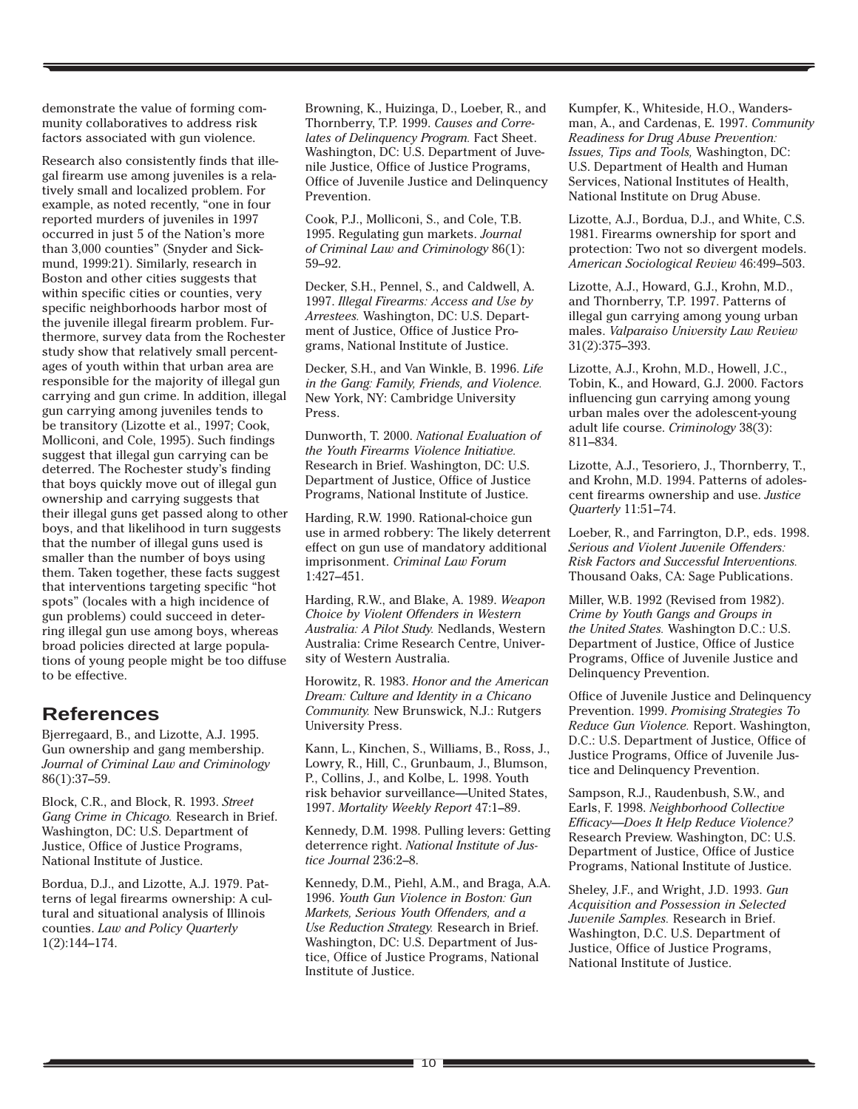demonstrate the value of forming community collaboratives to address risk factors associated with gun violence.

Research also consistently finds that illegal firearm use among juveniles is a relatively small and localized problem. For example, as noted recently, "one in four reported murders of juveniles in 1997 occurred in just 5 of the Nation's more than 3,000 counties" (Snyder and Sickmund, 1999:21). Similarly, research in Boston and other cities suggests that within specific cities or counties, very specific neighborhoods harbor most of the juvenile illegal firearm problem. Furthermore, survey data from the Rochester study show that relatively small percentages of youth within that urban area are responsible for the majority of illegal gun carrying and gun crime. In addition, illegal gun carrying among juveniles tends to be transitory (Lizotte et al., 1997; Cook, Molliconi, and Cole, 1995). Such findings suggest that illegal gun carrying can be deterred. The Rochester study's finding that boys quickly move out of illegal gun ownership and carrying suggests that their illegal guns get passed along to other boys, and that likelihood in turn suggests that the number of illegal guns used is smaller than the number of boys using them. Taken together, these facts suggest that interventions targeting specific "hot spots" (locales with a high incidence of gun problems) could succeed in deterring illegal gun use among boys, whereas broad policies directed at large populations of young people might be too diffuse to be effective.

# **References**

Bjerregaard, B., and Lizotte, A.J. 1995. Gun ownership and gang membership. *Journal of Criminal Law and Criminology* 86(1):37–59.

Block, C.R., and Block, R. 1993. *Street Gang Crime in Chicago.* Research in Brief. Washington, DC: U.S. Department of Justice, Office of Justice Programs, National Institute of Justice.

Bordua, D.J., and Lizotte, A.J. 1979. Patterns of legal firearms ownership: A cultural and situational analysis of Illinois counties. *Law and Policy Quarterly* 1(2):144–174.

Browning, K., Huizinga, D., Loeber, R., and Thornberry, T.P. 1999. *Causes and Correlates of Delinquency Program.* Fact Sheet. Washington, DC: U.S. Department of Juvenile Justice, Office of Justice Programs, Office of Juvenile Justice and Delinquency Prevention.

Cook, P.J., Molliconi, S., and Cole, T.B. 1995. Regulating gun markets. *Journal of Criminal Law and Criminology* 86(1): 59–92.

Decker, S.H., Pennel, S., and Caldwell, A. 1997. *Illegal Firearms: Access and Use by Arrestees.* Washington, DC: U.S. Department of Justice, Office of Justice Programs, National Institute of Justice.

Decker, S.H., and Van Winkle, B. 1996. *Life in the Gang: Family, Friends, and Violence.* New York, NY: Cambridge University Press.

Dunworth, T. 2000. *National Evaluation of the Youth Firearms Violence Initiative.* Research in Brief. Washington, DC: U.S. Department of Justice, Office of Justice Programs, National Institute of Justice.

Harding, R.W. 1990. Rational-choice gun use in armed robbery: The likely deterrent effect on gun use of mandatory additional imprisonment. *Criminal Law Forum* 1:427–451.

Harding, R.W., and Blake, A. 1989. *Weapon Choice by Violent Offenders in Western Australia: A Pilot Study.* Nedlands, Western Australia: Crime Research Centre, University of Western Australia.

Horowitz, R. 1983. *Honor and the American Dream: Culture and Identity in a Chicano Community.* New Brunswick, N.J.: Rutgers University Press.

Kann, L., Kinchen, S., Williams, B., Ross, J., Lowry, R., Hill, C., Grunbaum, J., Blumson, P., Collins, J., and Kolbe, L. 1998. Youth risk behavior surveillance—United States, 1997. *Mortality Weekly Report* 47:1–89.

Kennedy, D.M. 1998. Pulling levers: Getting deterrence right. *National Institute of Justice Journal* 236:2–8.

Kennedy, D.M., Piehl, A.M., and Braga, A.A. 1996. *Youth Gun Violence in Boston: Gun Markets, Serious Youth Offenders, and a Use Reduction Strategy.* Research in Brief. Washington, DC: U.S. Department of Justice, Office of Justice Programs, National Institute of Justice.

Kumpfer, K., Whiteside, H.O., Wandersman, A., and Cardenas, E. 1997. *Community Readiness for Drug Abuse Prevention: Issues, Tips and Tools,* Washington, DC: U.S. Department of Health and Human Services, National Institutes of Health, National Institute on Drug Abuse.

Lizotte, A.J., Bordua, D.J., and White, C.S. 1981. Firearms ownership for sport and protection: Two not so divergent models. *American Sociological Review* 46:499–503.

Lizotte, A.J., Howard, G.J., Krohn, M.D., and Thornberry, T.P. 1997. Patterns of illegal gun carrying among young urban males. *Valparaiso University Law Review* 31(2):375–393.

Lizotte, A.J., Krohn, M.D., Howell, J.C., Tobin, K., and Howard, G.J. 2000. Factors influencing gun carrying among young urban males over the adolescent-young adult life course. *Criminology* 38(3): 811–834.

Lizotte, A.J., Tesoriero, J., Thornberry, T., and Krohn, M.D. 1994. Patterns of adolescent firearms ownership and use. *Justice Quarterly* 11:51–74.

Loeber, R., and Farrington, D.P., eds. 1998. *Serious and Violent Juvenile Offenders: Risk Factors and Successful Interventions.* Thousand Oaks, CA: Sage Publications.

Miller, W.B. 1992 (Revised from 1982). *Crime by Youth Gangs and Groups in the United States.* Washington D.C.: U.S. Department of Justice, Office of Justice Programs, Office of Juvenile Justice and Delinquency Prevention.

Office of Juvenile Justice and Delinquency Prevention. 1999. *Promising Strategies To Reduce Gun Violence.* Report. Washington, D.C.: U.S. Department of Justice, Office of Justice Programs, Office of Juvenile Justice and Delinquency Prevention.

Sampson, R.J., Raudenbush, S.W., and Earls, F. 1998. *Neighborhood Collective Efficacy—Does It Help Reduce Violence?* Research Preview. Washington, DC: U.S. Department of Justice, Office of Justice Programs, National Institute of Justice.

Sheley, J.F., and Wright, J.D. 1993. *Gun Acquisition and Possession in Selected Juvenile Samples.* Research in Brief. Washington, D.C. U.S. Department of Justice, Office of Justice Programs, National Institute of Justice.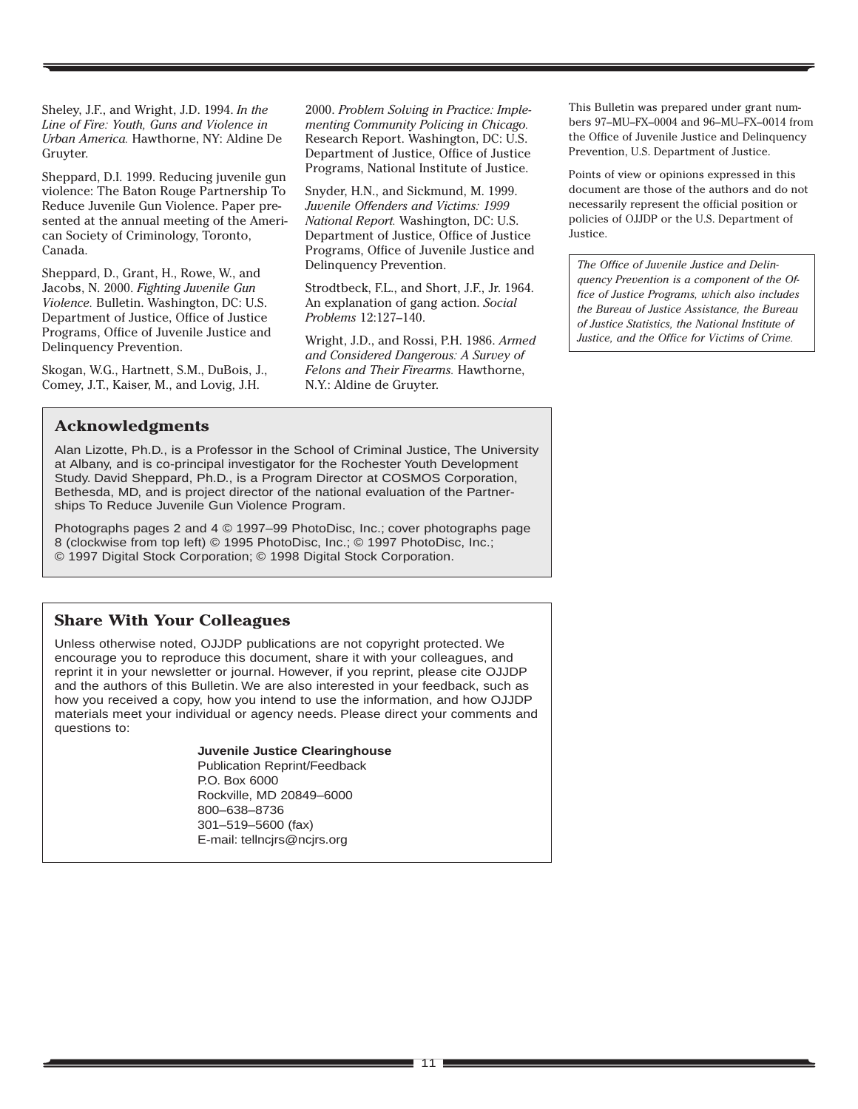Sheley, J.F., and Wright, J.D. 1994. *In the Line of Fire: Youth, Guns and Violence in Urban America.* Hawthorne, NY: Aldine De Gruyter.

Sheppard, D.I. 1999. Reducing juvenile gun violence: The Baton Rouge Partnership To Reduce Juvenile Gun Violence. Paper presented at the annual meeting of the American Society of Criminology, Toronto, Canada.

Sheppard, D., Grant, H., Rowe, W., and Jacobs, N. 2000. *Fighting Juvenile Gun Violence.* Bulletin. Washington, DC: U.S. Department of Justice, Office of Justice Programs, Office of Juvenile Justice and Delinquency Prevention.

Skogan, W.G., Hartnett, S.M., DuBois, J., Comey, J.T., Kaiser, M., and Lovig, J.H.

2000. *Problem Solving in Practice: Implementing Community Policing in Chicago.* Research Report. Washington, DC: U.S. Department of Justice, Office of Justice Programs, National Institute of Justice.

Snyder, H.N., and Sickmund, M. 1999. *Juvenile Offenders and Victims: 1999 National Report.* Washington, DC: U.S. Department of Justice, Office of Justice Programs, Office of Juvenile Justice and Delinquency Prevention.

Strodtbeck, F.L., and Short, J.F., Jr. 1964. An explanation of gang action. *Social Problems* 12:127–140.

Wright, J.D., and Rossi, P.H. 1986. *Armed and Considered Dangerous: A Survey of Felons and Their Firearms.* Hawthorne, N.Y.: Aldine de Gruyter.

This Bulletin was prepared under grant numbers 97–MU–FX–0004 and 96–MU–FX–0014 from the Office of Juvenile Justice and Delinquency Prevention, U.S. Department of Justice.

Points of view or opinions expressed in this document are those of the authors and do not necessarily represent the official position or policies of OJJDP or the U.S. Department of Justice.

*The Office of Juvenile Justice and Delinquency Prevention is a component of the Office of Justice Programs, which also includes the Bureau of Justice Assistance, the Bureau of Justice Statistics, the National Institute of Justice, and the Office for Victims of Crime.*

### **Acknowledgments**

Alan Lizotte, Ph.D., is a Professor in the School of Criminal Justice, The University at Albany, and is co-principal investigator for the Rochester Youth Development Study. David Sheppard, Ph.D., is a Program Director at COSMOS Corporation, Bethesda, MD, and is project director of the national evaluation of the Partnerships To Reduce Juvenile Gun Violence Program.

Photographs pages 2 and 4 © 1997–99 PhotoDisc, Inc.; cover photographs page 8 (clockwise from top left) © 1995 PhotoDisc, Inc.; © 1997 PhotoDisc, Inc.; © 1997 Digital Stock Corporation; © 1998 Digital Stock Corporation.

### **Share With Your Colleagues**

Unless otherwise noted, OJJDP publications are not copyright protected. We encourage you to reproduce this document, share it with your colleagues, and reprint it in your newsletter or journal. However, if you reprint, please cite OJJDP and the authors of this Bulletin. We are also interested in your feedback, such as how you received a copy, how you intend to use the information, and how OJJDP materials meet your individual or agency needs. Please direct your comments and questions to:

#### **Juvenile Justice Clearinghouse**

Publication Reprint/Feedback P.O. Box 6000 Rockville, MD 20849–6000 800–638–8736 301–519–5600 (fax) E-mail: tellncjrs@ncjrs.org